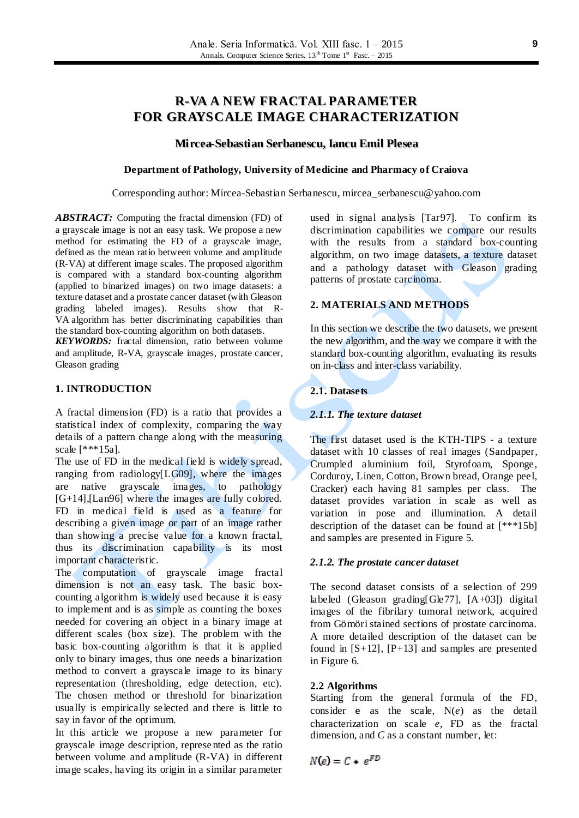# **R-VA A NEW FRACTAL PARAMETER FOR GRAYSCALE IMAGE CHARACTERIZATION**

# **Mircea-Sebastian Serbanescu, Iancu Emil Plesea**

#### **Department of Pathology, University of Medicine and Pharmacy of Craiova**

Corresponding author: Mircea-Sebastian Serbanescu, mircea\_serbanescu@yahoo.com

*ABSTRACT:* Computing the fractal dimension (FD) of a grayscale image is not an easy task. We propose a new method for estimating the FD of a grayscale image, defined as the mean ratio between volume and amplitude (R-VA) at different image scales. The proposed algorithm is compared with a standard box-counting algorithm (applied to binarized images) on two image datasets: a texture dataset and a prostate cancer dataset (with Gleason grading labeled images). Results show that R-VA algorithm has better discriminating capabilities than the standard box-counting algorithm on both datasets.

*KEYWORDS:* fractal dimension, ratio between volume and amplitude, R-VA, grayscale images, prostate cancer, Gleason grading

# **1. INTRODUCTION**

A fractal dimension (FD) is a ratio that provides a statistical index of complexity, comparing the way details of a pattern change along with the measuring scale [\*\*\*15a].

The use of FD in the medical field is widely spread, ranging from radiology[LG09], where the images are native grayscale images, to pathology [G+14],[Lan96] where the images are fully colored. FD in medical field is used as a feature for describing a given image or part of an image rather than showing a precise value for a known fractal, thus its discrimination capability is its most important characteristic.

The computation of grayscale image fractal dimension is not an easy task. The basic boxcounting algorithm is widely used because it is easy to implement and is as simple as counting the boxes needed for covering an object in a binary image at different scales (box size). The problem with the basic box-counting algorithm is that it is applied only to binary images, thus one needs a binarization method to convert a grayscale image to its binary representation (thresholding, edge detection, etc). The chosen method or threshold for binarization usually is empirically selected and there is little to say in favor of the optimum.

In this article we propose a new parameter for grayscale image description, represented as the ratio between volume and amplitude (R-VA) in different image scales, having its origin in a similar parameter

used in signal analysis [Tar97]. To confirm its discrimination capabilities we compare our results with the results from a standard box-counting algorithm, on two image datasets, a texture dataset and a pathology dataset with Gleason grading patterns of prostate carcinoma.

# **2. MATERIALS AND METHODS**

In this section we describe the two datasets, we present the new algorithm, and the way we compare it with the standard box-counting algorithm, evaluating its results on in-class and inter-class variability.

# **2.1. Datasets**

# *2.1.1. The texture dataset*

The first dataset used is the KTH-TIPS - a texture dataset with 10 classes of real images (Sandpaper, Crumpled aluminium foil, Styrofoam, Sponge, Corduroy, Linen, Cotton, Brown bread, Orange peel, Cracker) each having 81 samples per class. The dataset provides variation in scale as well as variation in pose and illumination. A detail description of the dataset can be found at [\*\*\*15b] and samples are presented in Figure 5.

#### *2.1.2. The prostate cancer dataset*

The second dataset consists of a selection of 299 labeled (Gleason grading [Gle77],  $[A+03]$ ) digital images of the fibrilary tumoral network, acquired from Gömöri stained sections of prostate carcinoma. A more detailed description of the dataset can be found in  $[S+12]$ ,  $[P+13]$  and samples are presented in Figure 6.

#### **2.2 Algorithms**

Starting from the general formula of the FD, consider e as the scale, N(*e*) as the detail characterization on scale *e*, FD as the fractal dimension, and *C* as a constant number, let:

 $N(e) = C + e^{FD}$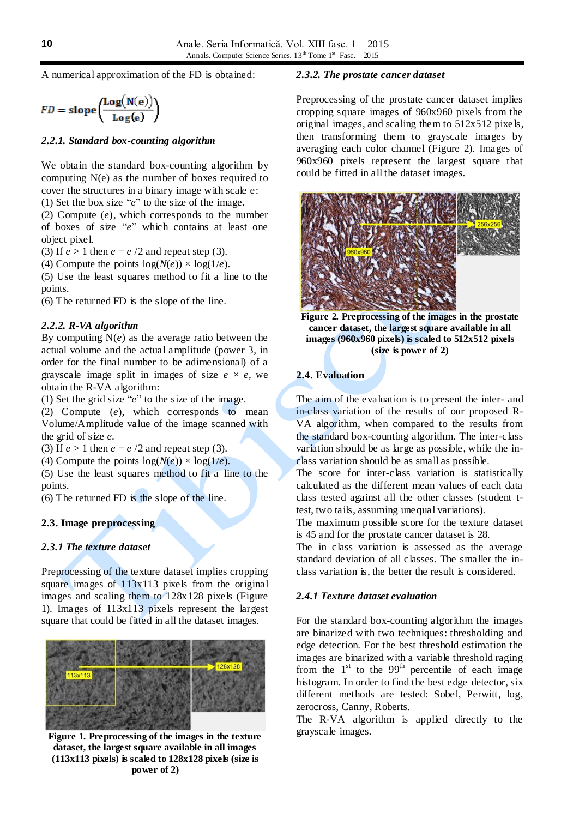A numerical approximation of the FD is obtained:

$$
FD = \text{slope}\left(\frac{\text{Log}(N(e))}{\text{Log}(e)}\right)
$$

#### *2.2.1. Standard box-counting algorithm*

We obtain the standard box-counting algorithm by computing N(e) as the number of boxes required to cover the structures in a binary image with scale e: (1) Set the box size "*e*" to the size of the image.

(2) Compute (*e*), which corresponds to the number of boxes of size "*e*" which contains at least one object pixel.

(3) If  $e > 1$  then  $e = e/2$  and repeat step (3).

(4) Compute the points  $log(N(e)) \times log(1/e)$ .

(5) Use the least squares method to fit a line to the points.

(6) The returned FD is the slope of the line.

### *2.2.2. R-VA algorithm*

By computing N(*e*) as the average ratio between the actual volume and the actual amplitude (power 3, in order for the final number to be adimensional) of a grayscale image split in images of size  $e \times e$ , we obtain the R-VA algorithm:

(1) Set the grid size "*e*" to the size of the image.

(2) Compute (*e*), which corresponds to mean Volume/Amplitude value of the image scanned with the grid of size *e.*

(3) If  $e > 1$  then  $e = e/2$  and repeat step (3).

(4) Compute the points  $log(N(e)) \times log(1/e)$ .

(5) Use the least squares method to fit a line to the points.

(6) The returned FD is the slope of the line.

# **2.3. Image preprocessing**

# *2.3.1 The texture dataset*

Preprocessing of the texture dataset implies cropping square images of  $113x113$  pixels from the original images and scaling them to 128x128 pixels (Figure 1). Images of 113x113 pixels represent the largest square that could be fitted in all the dataset images.



**Figure 1. Preprocessing of the images in the texture dataset, the largest square available in all images (113x113 pixels) is scaled to 128x128 pixels (size is power of 2)**

#### *2.3.2. The prostate cancer dataset*

Preprocessing of the prostate cancer dataset implies cropping square images of 960x960 pixels from the original images, and scaling them to 512x512 pixe ls, then transforming them to grayscale images by averaging each color channel (Figure 2). Images of 960x960 pixels represent the largest square that could be fitted in all the dataset images.



**Figure 2. Preprocessing of the images in the prostate cancer dataset, the largest square available in all images (960x960 pixels) is scaled to 512x512 pixels (size is power of 2)**

# **2.4. Evaluation**

The aim of the evaluation is to present the inter- and in-class variation of the results of our proposed R-VA algorithm, when compared to the results from the standard box-counting algorithm. The inter-class variation should be as large as possible, while the inclass variation should be as small as possible.

The score for inter-class variation is statistically calculated as the different mean values of each data class tested against all the other classes (student ttest, two tails, assuming unequal variations).

The maximum possible score for the texture dataset is 45 and for the prostate cancer dataset is 28.

The in class variation is assessed as the average standard deviation of all classes. The smaller the inclass variation is, the better the result is considered.

#### *2.4.1 Texture dataset evaluation*

For the standard box-counting algorithm the images are binarized with two techniques: thresholding and edge detection. For the best threshold estimation the images are binarized with a variable threshold raging from the  $1<sup>st</sup>$  to the  $99<sup>th</sup>$  percentile of each image histogram. In order to find the best edge detector, six different methods are tested: Sobel, Perwitt, log, zerocross, Canny, Roberts.

The R-VA algorithm is applied directly to the grayscale images.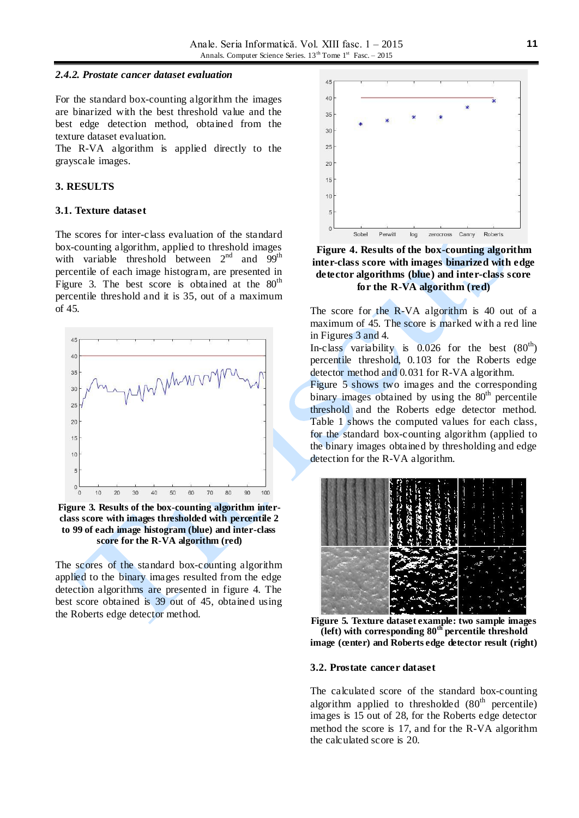#### *2.4.2. Prostate cancer dataset evaluation*

For the standard box-counting algorithm the images are binarized with the best threshold value and the best edge detection method, obtained from the texture dataset evaluation.

The R-VA algorithm is applied directly to the grayscale images.

# **3. RESULTS**

#### **3.1. Texture dataset**

The scores for inter-class evaluation of the standard box-counting algorithm, applied to threshold images with variable threshold between  $2<sup>nd</sup>$  and  $99<sup>th</sup>$ percentile of each image histogram, are presented in Figure 3. The best score is obtained at the  $80<sup>th</sup>$ percentile threshold and it is 35, out of a maximum of 45.



**Figure 3. Results of the box-counting algorithm interclass score with images thresholded with percentile 2 to 99 of each image histogram (blue) and inter-class score for the R-VA algorithm (red)**

The scores of the standard box-counting algorithm applied to the binary images resulted from the edge detection algorithms are presented in figure 4. The best score obtained is 39 out of 45, obtained using the Roberts edge detector method.



**Figure 4. Results of the box-counting algorithm inter-class score with images binarized with edge detector algorithms (blue) and inter-class score for the R-VA algorithm (red)**

The score for the R-VA algorithm is 40 out of a maximum of 45. The score is marked with a red line in Figures 3 and 4.

In-class variability is  $0.026$  for the best  $(80<sup>th</sup>)$ percentile threshold, 0.103 for the Roberts edge detector method and 0.031 for R-VA algorithm.

Figure 5 shows two images and the corresponding binary images obtained by using the  $80<sup>th</sup>$  percentile threshold and the Roberts edge detector method. Table 1 shows the computed values for each class, for the standard box-counting algorithm (applied to the binary images obtained by thresholding and edge detection for the R-VA algorithm.



**Figure 5. Texture dataset example: two sample images (left) with corresponding 80th percentile threshold image (center) and Roberts edge detector result (right)**

#### **3.2. Prostate cancer dataset**

The calculated score of the standard box-counting algorithm applied to thresholded  $(80<sup>th</sup>$  percentile) images is 15 out of 28, for the Roberts edge detector method the score is 17, and for the R-VA algorithm the calculated score is 20.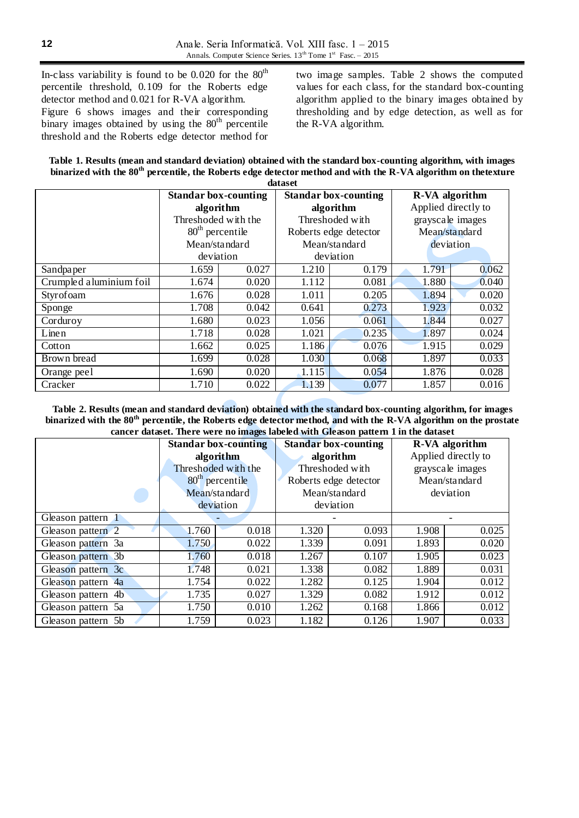In-class variability is found to be  $0.020$  for the  $80<sup>th</sup>$ percentile threshold, 0.109 for the Roberts edge detector method and 0.021 for R-VA algorithm. Figure 6 shows images and their corresponding binary images obtained by using the  $80<sup>th</sup>$  percentile threshold and the Roberts edge detector method for

two image samples. Table 2 shows the computed values for each class, for the standard box-counting algorithm applied to the binary images obtained by thresholding and by edge detection, as well as for the R-VA algorithm.

| Table 1. Results (mean and standard deviation) obtained with the standard box-counting algorithm, with images              |
|----------------------------------------------------------------------------------------------------------------------------|
| binarized with the 80 <sup>th</sup> percentile, the Roberts edge detector method and with the R-VA algorithm on thetexture |
| dataset                                                                                                                    |

|                         | <b>Standar box-counting</b>    |       | <b>Standar box-counting</b> |       | R-VA algorithm      |       |
|-------------------------|--------------------------------|-------|-----------------------------|-------|---------------------|-------|
|                         | algorithm                      |       | algorithm                   |       | Applied directly to |       |
|                         | Threshoded with the            |       | Threshoded with             |       | grayscale images    |       |
|                         | $80th$ percentile              |       | Roberts edge detector       |       | Mean/standard       |       |
|                         | Mean/standard<br>Mean/standard |       | deviation                   |       |                     |       |
|                         | deviation                      |       | deviation                   |       |                     |       |
| Sandpaper               | 1.659                          | 0.027 | 1.210                       | 0.179 | 1.791               | 0.062 |
| Crumpled aluminium foil | 1.674                          | 0.020 | 1.112                       | 0.081 | 1.880               | 0.040 |
| Styrofoam               | 1.676                          | 0.028 | 1.011                       | 0.205 | 1.894               | 0.020 |
| Sponge                  | 1.708                          | 0.042 | 0.641                       | 0.273 | 1.923               | 0.032 |
| Corduroy                | 1.680                          | 0.023 | 1.056                       | 0.061 | 1.844               | 0.027 |
| Linen                   | 1.718                          | 0.028 | 1.021                       | 0.235 | 1.897               | 0.024 |
| Cotton                  | 1.662                          | 0.025 | 1.186                       | 0.076 | 1.915               | 0.029 |
| Brown bread             | 1.699                          | 0.028 | 1.030                       | 0.068 | 1.897               | 0.033 |
| Orange peel             | 1.690                          | 0.020 | 1.115                       | 0.054 | 1.876               | 0.028 |
| Cracker                 | 1.710                          | 0.022 | 1.139                       | 0.077 | 1.857               | 0.016 |

**Table 2. Results (mean and standard deviation) obtained with the standard box-counting algorithm, for images binarized with the 80th percentile, the Roberts edge detector method, and with the R-VA algorithm on the prostate cancer dataset. There were no images labeled with Gleason pattern 1 in the dataset**

|                    | <b>Standar box-counting</b> |       | <b>Standar box-counting</b> |       | R-VA algorithm      |       |
|--------------------|-----------------------------|-------|-----------------------------|-------|---------------------|-------|
|                    | algorithm                   |       | algorithm                   |       | Applied directly to |       |
|                    | Threshoded with the         |       | Threshoded with             |       | grayscale images    |       |
|                    | $80th$ percentile           |       | Roberts edge detector       |       | Mean/standard       |       |
|                    | Mean/standard               |       | Mean/standard               |       | deviation           |       |
|                    | deviation                   |       | deviation                   |       |                     |       |
| Gleason pattern 1  |                             |       |                             |       |                     |       |
| Gleason pattern 2  | 1.760                       | 0.018 | 1.320                       | 0.093 | 1.908               | 0.025 |
| Gleason pattern 3a | 1.750                       | 0.022 | 1.339                       | 0.091 | 1.893               | 0.020 |
| Gleason pattern 3b | 1.760                       | 0.018 | 1.267                       | 0.107 | 1.905               | 0.023 |
| Gleason pattern 3c | 1.748                       | 0.021 | 1.338                       | 0.082 | 1.889               | 0.031 |
| Gleason pattern 4a | 1.754                       | 0.022 | 1.282                       | 0.125 | 1.904               | 0.012 |
| Gleason pattern 4b | 1.735                       | 0.027 | 1.329                       | 0.082 | 1.912               | 0.012 |
| Gleason pattern 5a | 1.750                       | 0.010 | 1.262                       | 0.168 | 1.866               | 0.012 |
| Gleason pattern 5b | 1.759                       | 0.023 | 1.182                       | 0.126 | 1.907               | 0.033 |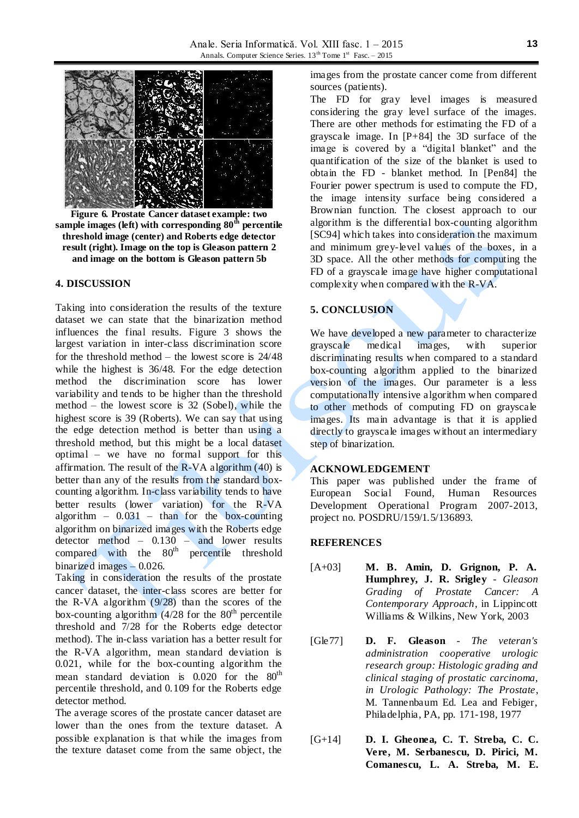

**Figure 6. Prostate Cancer dataset example: two**  sample images (left) with corresponding  $80^{\text{th}}$  percentile **threshold image (center) and Roberts edge detector result (right). Image on the top is Gleason pattern 2 and image on the bottom is Gleason pattern 5b**

# **4. DISCUSSION**

Taking into consideration the results of the texture dataset we can state that the binarization method influences the final results. Figure 3 shows the largest variation in inter-class discrimination score for the threshold method – the lowest score is 24/48 while the highest is 36/48. For the edge detection method the discrimination score has lower variability and tends to be higher than the threshold method – the lowest score is 32 (Sobel), while the highest score is 39 (Roberts). We can say that using the edge detection method is better than using a threshold method, but this might be a local dataset optimal – we have no formal support for this affirmation. The result of the R-VA algorithm  $(40)$  is better than any of the results from the standard boxcounting algorithm. In-class variability tends to have better results (lower variation) for the R-VA algorithm  $-$  0.031 – than for the box-counting algorithm on binarized images with the Roberts edge detector method  $-$  0.130  $-$  and lower results compared with the 80<sup>th</sup> percentile threshold binarized images – 0.026.

Taking in consideration the results of the prostate cancer dataset, the inter-class scores are better for the R-VA algorithm (9/28) than the scores of the box-counting algorithm  $(4/28$  for the  $80<sup>th</sup>$  percentile threshold and 7/28 for the Roberts edge detector method). The in-class variation has a better result for the R-VA algorithm, mean standard deviation is 0.021, while for the box-counting algorithm the mean standard deviation is  $0.020$  for the  $80<sup>th</sup>$ percentile threshold, and 0.109 for the Roberts edge detector method.

The average scores of the prostate cancer dataset are lower than the ones from the texture dataset. A possible explanation is that while the images from the texture dataset come from the same object, the

images from the prostate cancer come from different sources (patients).

The FD for gray level images is measured considering the gray level surface of the images. There are other methods for estimating the FD of a grayscale image. In [P+84] the 3D surface of the image is covered by a "digital blanket" and the quantification of the size of the blanket is used to obtain the FD - blanket method. In [Pen84] the Fourier power spectrum is used to compute the FD, the image intensity surface being considered a Brownian function. The closest approach to our algorithm is the differential box-counting algorithm [SC94] which takes into consideration the maximum and minimum grey-level values of the boxes, in a 3D space. All the other methods for computing the FD of a grayscale image have higher computational complexity when compared with the R-VA.

# **5. CONCLUSION**

We have developed a new parameter to characterize grayscale medical images, with superior discriminating results when compared to a standard box-counting algorithm applied to the binarized version of the images. Our parameter is a less computationally intensive algorithm when compared to other methods of computing FD on grayscale images. Its main advantage is that it is applied directly to grayscale images without an intermediary step of binarization.

#### **ACKNOWLEDGEMENT**

This paper was published under the frame of European Social Found, Human Resources Development Operational Program 2007-2013, project no. POSDRU/159/1.5/136893.

# **REFERENCES**

- [A+03] **M. B. Amin, D. Grignon, P. A. Humphrey, J. R. Srigley** - *Gleason Grading of Prostate Cancer: A Contemporary Approach*, in Lippincott Williams & Wilkins, New York, 2003
- [Gle77] **D. F. Gleason** *The veteran's administration cooperative urologic research group: Histologic grading and clinical staging of prostatic carcinoma, in Urologic Pathology: The Prostate*, M. Tannenbaum Ed. Lea and Febiger, Philadelphia, PA, pp. 171-198, 1977
- [G+14] **D. I. Gheonea, C. T. Streba, C. C. Vere, M. Serbanescu, D. Pirici, M. Comanescu, L. A. Streba, M. E.**